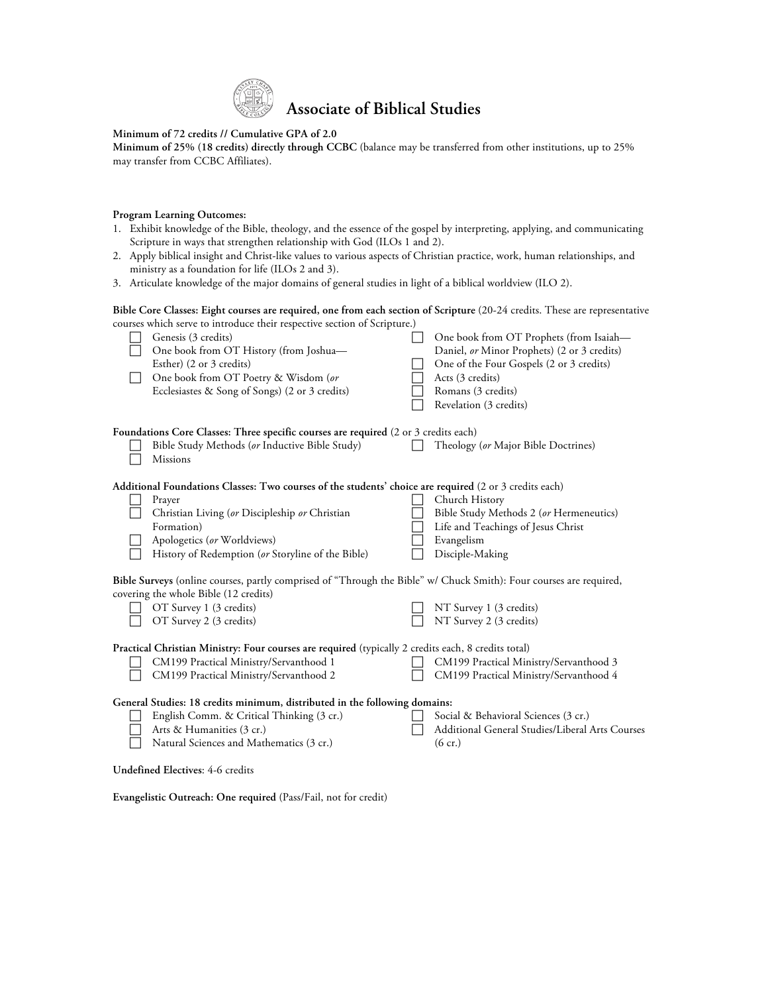

## **Minimum of 72 credits // Cumulative GPA of 2.0**

**Minimum of 25% (18 credits) directly through CCBC** (balance may be transferred from other institutions, up to 25% may transfer from CCBC Affiliates).

## **Program Learning Outcomes:**

- 1. Exhibit knowledge of the Bible, theology, and the essence of the gospel by interpreting, applying, and communicating Scripture in ways that strengthen relationship with God (ILOs 1 and 2).
- 2. Apply biblical insight and Christ-like values to various aspects of Christian practice, work, human relationships, and ministry as a foundation for life (ILOs 2 and 3).
- 3. Articulate knowledge of the major domains of general studies in light of a biblical worldview (ILO 2).

## **Bible Core Classes: Eight courses are required, one from each section of Scripture** (20-24 credits. These are representative courses which serve to introduce their respective section of Scripture.)

|                                                                                                                                                             | Genesis (3 credits)<br>One book from OT History (from Joshua-<br>Esther) (2 or 3 credits)<br>One book from OT Poetry & Wisdom (or<br>Ecclesiastes & Song of Songs) (2 or 3 credits) |  | One book from OT Prophets (from Isaiah-<br>Daniel, or Minor Prophets) (2 or 3 credits)<br>One of the Four Gospels (2 or 3 credits)<br>Acts (3 credits)<br>Romans (3 credits)<br>Revelation (3 credits) |
|-------------------------------------------------------------------------------------------------------------------------------------------------------------|-------------------------------------------------------------------------------------------------------------------------------------------------------------------------------------|--|--------------------------------------------------------------------------------------------------------------------------------------------------------------------------------------------------------|
| Foundations Core Classes: Three specific courses are required (2 or 3 credits each)                                                                         |                                                                                                                                                                                     |  |                                                                                                                                                                                                        |
|                                                                                                                                                             | Bible Study Methods (or Inductive Bible Study)<br><b>Missions</b>                                                                                                                   |  | Theology (or Major Bible Doctrines)                                                                                                                                                                    |
| Additional Foundations Classes: Two courses of the students' choice are required (2 or 3 credits each)                                                      |                                                                                                                                                                                     |  |                                                                                                                                                                                                        |
|                                                                                                                                                             | Prayer                                                                                                                                                                              |  | Church History                                                                                                                                                                                         |
|                                                                                                                                                             | Christian Living (or Discipleship or Christian                                                                                                                                      |  | Bible Study Methods 2 (or Hermeneutics)                                                                                                                                                                |
|                                                                                                                                                             | Formation)                                                                                                                                                                          |  | Life and Teachings of Jesus Christ                                                                                                                                                                     |
|                                                                                                                                                             | Apologetics (or Worldviews)                                                                                                                                                         |  | Evangelism                                                                                                                                                                                             |
|                                                                                                                                                             | History of Redemption (or Storyline of the Bible)                                                                                                                                   |  | Disciple-Making                                                                                                                                                                                        |
| Bible Surveys (online courses, partly comprised of "Through the Bible" w/ Chuck Smith): Four courses are required,<br>covering the whole Bible (12 credits) |                                                                                                                                                                                     |  |                                                                                                                                                                                                        |
|                                                                                                                                                             | OT Survey 1 (3 credits)                                                                                                                                                             |  | NT Survey 1 (3 credits)                                                                                                                                                                                |
|                                                                                                                                                             | OT Survey 2 (3 credits)                                                                                                                                                             |  | NT Survey 2 (3 credits)                                                                                                                                                                                |
| Practical Christian Ministry: Four courses are required (typically 2 credits each, 8 credits total)                                                         |                                                                                                                                                                                     |  |                                                                                                                                                                                                        |
|                                                                                                                                                             | CM199 Practical Ministry/Servanthood 1                                                                                                                                              |  | CM199 Practical Ministry/Servanthood 3                                                                                                                                                                 |
|                                                                                                                                                             | CM199 Practical Ministry/Servanthood 2                                                                                                                                              |  | CM199 Practical Ministry/Servanthood 4                                                                                                                                                                 |
| General Studies: 18 credits minimum, distributed in the following domains:                                                                                  |                                                                                                                                                                                     |  |                                                                                                                                                                                                        |
|                                                                                                                                                             | English Comm. & Critical Thinking (3 cr.)                                                                                                                                           |  | Social & Behavioral Sciences (3 cr.)                                                                                                                                                                   |
|                                                                                                                                                             | Arts & Humanities (3 cr.)                                                                                                                                                           |  | Additional General Studies/Liberal Arts Courses                                                                                                                                                        |
|                                                                                                                                                             | Natural Sciences and Mathematics (3 cr.)                                                                                                                                            |  | $(6 \text{ cr.})$                                                                                                                                                                                      |
| <b>Undefined Electives: 4-6 credits</b>                                                                                                                     |                                                                                                                                                                                     |  |                                                                                                                                                                                                        |

**Evangelistic Outreach: One required** (Pass/Fail, not for credit)